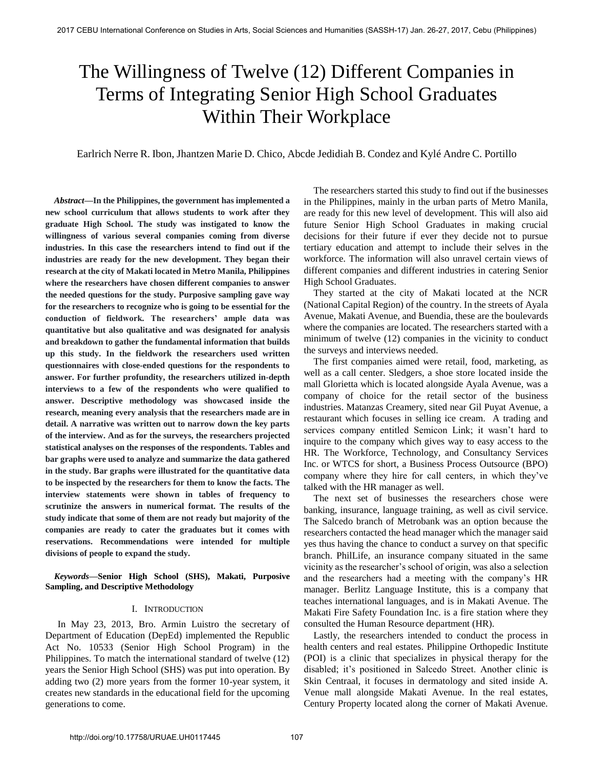# The Willingness of Twelve (12) Different Companies in Terms of Integrating Senior High School Graduates Within Their Workplace

Earlrich Nerre R. Ibon, Jhantzen Marie D. Chico, Abcde Jedidiah B. Condez and Kylé Andre C. Portillo

 *Abstract***—In the Philippines, the government has implemented a new school curriculum that allows students to work after they graduate High School. The study was instigated to know the willingness of various several companies coming from diverse industries. In this case the researchers intend to find out if the industries are ready for the new development. They began their research at the city of Makati located in Metro Manila, Philippines where the researchers have chosen different companies to answer the needed questions for the study. Purposive sampling gave way for the researchers to recognize who is going to be essential for the conduction of fieldwork. The researchers' ample data was quantitative but also qualitative and was designated for analysis and breakdown to gather the fundamental information that builds up this study. In the fieldwork the researchers used written questionnaires with close-ended questions for the respondents to answer. For further profundity, the researchers utilized in-depth interviews to a few of the respondents who were qualified to answer. Descriptive methodology was showcased inside the research, meaning every analysis that the researchers made are in detail. A narrative was written out to narrow down the key parts of the interview. And as for the surveys, the researchers projected statistical analyses on the responses of the respondents. Tables and bar graphs were used to analyze and summarize the data gathered in the study. Bar graphs were illustrated for the quantitative data to be inspected by the researchers for them to know the facts. The interview statements were shown in tables of frequency to scrutinize the answers in numerical format. The results of the study indicate that some of them are not ready but majority of the companies are ready to cater the graduates but it comes with reservations. Recommendations were intended for multiple divisions of people to expand the study.** 

 *Keywords***—Senior High School (SHS), Makati, Purposive Sampling, and Descriptive Methodology** 

## I. INTRODUCTION

 In May 23, 2013, Bro. Armin Luistro the secretary of Department of Education (DepEd) implemented the Republic Act No. 10533 (Senior High School Program) in the Philippines. To match the international standard of twelve (12) years the Senior High School (SHS) was put into operation. By adding two (2) more years from the former 10-year system, it creates new standards in the educational field for the upcoming generations to come.

The researchers started this study to find out if the businesses in the Philippines, mainly in the urban parts of Metro Manila, are ready for this new level of development. This will also aid future Senior High School Graduates in making crucial decisions for their future if ever they decide not to pursue tertiary education and attempt to include their selves in the workforce. The information will also unravel certain views of different companies and different industries in catering Senior High School Graduates.

They started at the city of Makati located at the NCR (National Capital Region) of the country. In the streets of Ayala Avenue, Makati Avenue, and Buendia, these are the boulevards where the companies are located. The researchers started with a minimum of twelve (12) companies in the vicinity to conduct the surveys and interviews needed.

The first companies aimed were retail, food, marketing, as well as a call center. Sledgers, a shoe store located inside the mall Glorietta which is located alongside Ayala Avenue, was a company of choice for the retail sector of the business industries. Matanzas Creamery, sited near Gil Puyat Avenue, a restaurant which focuses in selling ice cream. A trading and services company entitled Semicon Link; it wasn't hard to inquire to the company which gives way to easy access to the HR. The Workforce, Technology, and Consultancy Services Inc. or WTCS for short, a Business Process Outsource (BPO) company where they hire for call centers, in which they've talked with the HR manager as well.

The next set of businesses the researchers chose were banking, insurance, language training, as well as civil service. The Salcedo branch of Metrobank was an option because the researchers contacted the head manager which the manager said yes thus having the chance to conduct a survey on that specific branch. PhilLife, an insurance company situated in the same vicinity as the researcher's school of origin, was also a selection and the researchers had a meeting with the company's HR manager. Berlitz Language Institute, this is a company that teaches international languages, and is in Makati Avenue. The Makati Fire Safety Foundation Inc. is a fire station where they consulted the Human Resource department (HR).

Lastly, the researchers intended to conduct the process in health centers and real estates. Philippine Orthopedic Institute (POI) is a clinic that specializes in physical therapy for the disabled; it's positioned in Salcedo Street. Another clinic is Skin Centraal, it focuses in dermatology and sited inside A. Venue mall alongside Makati Avenue. In the real estates, Century Property located along the corner of Makati Avenue.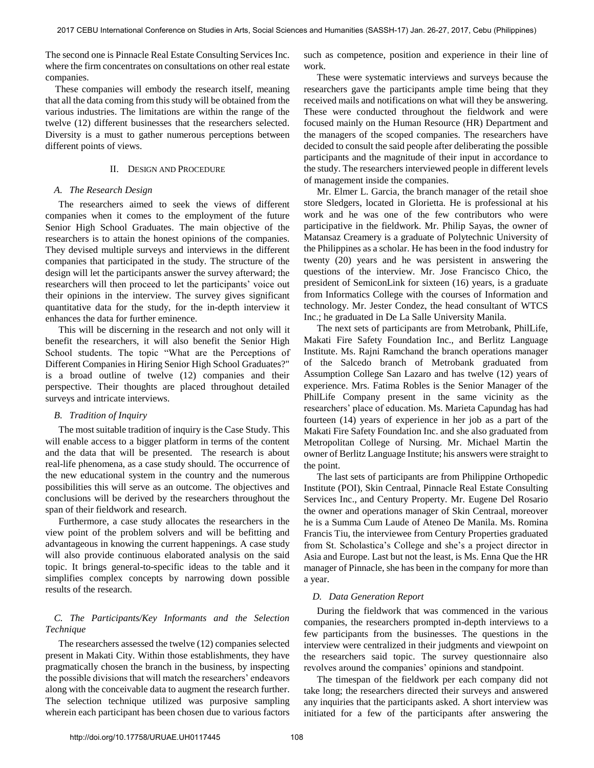The second one is Pinnacle Real Estate Consulting Services Inc. where the firm concentrates on consultations on other real estate companies.

These companies will embody the research itself, meaning that all the data coming from this study will be obtained from the various industries. The limitations are within the range of the twelve (12) different businesses that the researchers selected. Diversity is a must to gather numerous perceptions between different points of views.

## II. DESIGN AND PROCEDURE

## *A. The Research Design*

 The researchers aimed to seek the views of different companies when it comes to the employment of the future Senior High School Graduates. The main objective of the researchers is to attain the honest opinions of the companies. They devised multiple surveys and interviews in the different companies that participated in the study. The structure of the design will let the participants answer the survey afterward; the researchers will then proceed to let the participants' voice out their opinions in the interview. The survey gives significant quantitative data for the study, for the in-depth interview it enhances the data for further eminence.

 This will be discerning in the research and not only will it benefit the researchers, it will also benefit the Senior High School students. The topic "What are the Perceptions of Different Companies in Hiring Senior High School Graduates?" is a broad outline of twelve (12) companies and their perspective. Their thoughts are placed throughout detailed surveys and intricate interviews.

## *B. Tradition of Inquiry*

 The most suitable tradition of inquiry is the Case Study. This will enable access to a bigger platform in terms of the content and the data that will be presented. The research is about real-life phenomena, as a case study should. The occurrence of the new educational system in the country and the numerous possibilities this will serve as an outcome. The objectives and conclusions will be derived by the researchers throughout the span of their fieldwork and research.

 Furthermore, a case study allocates the researchers in the view point of the problem solvers and will be befitting and advantageous in knowing the current happenings. A case study will also provide continuous elaborated analysis on the said topic. It brings general-to-specific ideas to the table and it simplifies complex concepts by narrowing down possible results of the research.

## *C. The Participants/Key Informants and the Selection Technique*

 The researchers assessed the twelve (12) companies selected present in Makati City. Within those establishments, they have pragmatically chosen the branch in the business, by inspecting the possible divisions that will match the researchers' endeavors along with the conceivable data to augment the research further. The selection technique utilized was purposive sampling wherein each participant has been chosen due to various factors

such as competence, position and experience in their line of work.

 These were systematic interviews and surveys because the researchers gave the participants ample time being that they received mails and notifications on what will they be answering. These were conducted throughout the fieldwork and were focused mainly on the Human Resource (HR) Department and the managers of the scoped companies. The researchers have decided to consult the said people after deliberating the possible participants and the magnitude of their input in accordance to the study. The researchers interviewed people in different levels of management inside the companies.

 Mr. Elmer L. Garcia, the branch manager of the retail shoe store Sledgers, located in Glorietta. He is professional at his work and he was one of the few contributors who were participative in the fieldwork. Mr. Philip Sayas, the owner of Matansaz Creamery is a graduate of Polytechnic University of the Philippines as a scholar. He has been in the food industry for twenty (20) years and he was persistent in answering the questions of the interview. Mr. Jose Francisco Chico, the president of SemiconLink for sixteen (16) years, is a graduate from Informatics College with the courses of Information and technology. Mr. Jester Condez, the head consultant of WTCS Inc.; he graduated in De La Salle University Manila.

 The next sets of participants are from Metrobank, PhilLife, Makati Fire Safety Foundation Inc., and Berlitz Language Institute. Ms. Rajni Ramchand the branch operations manager of the Salcedo branch of Metrobank graduated from Assumption College San Lazaro and has twelve (12) years of experience. Mrs. Fatima Robles is the Senior Manager of the PhilLife Company present in the same vicinity as the researchers' place of education. Ms. Marieta Capundag has had fourteen (14) years of experience in her job as a part of the Makati Fire Safety Foundation Inc. and she also graduated from Metropolitan College of Nursing. Mr. Michael Martin the owner of Berlitz Language Institute; his answers were straight to the point.

 The last sets of participants are from Philippine Orthopedic Institute (POI), Skin Centraal, Pinnacle Real Estate Consulting Services Inc., and Century Property. Mr. Eugene Del Rosario the owner and operations manager of Skin Centraal, moreover he is a Summa Cum Laude of Ateneo De Manila. Ms. Romina Francis Tiu, the interviewee from Century Properties graduated from St. Scholastica's College and she's a project director in Asia and Europe. Last but not the least, is Ms. Enna Que the HR manager of Pinnacle, she has been in the company for more than a year.

## *D. Data Generation Report*

 During the fieldwork that was commenced in the various companies, the researchers prompted in-depth interviews to a few participants from the businesses. The questions in the interview were centralized in their judgments and viewpoint on the researchers said topic. The survey questionnaire also revolves around the companies' opinions and standpoint.

 The timespan of the fieldwork per each company did not take long; the researchers directed their surveys and answered any inquiries that the participants asked. A short interview was initiated for a few of the participants after answering the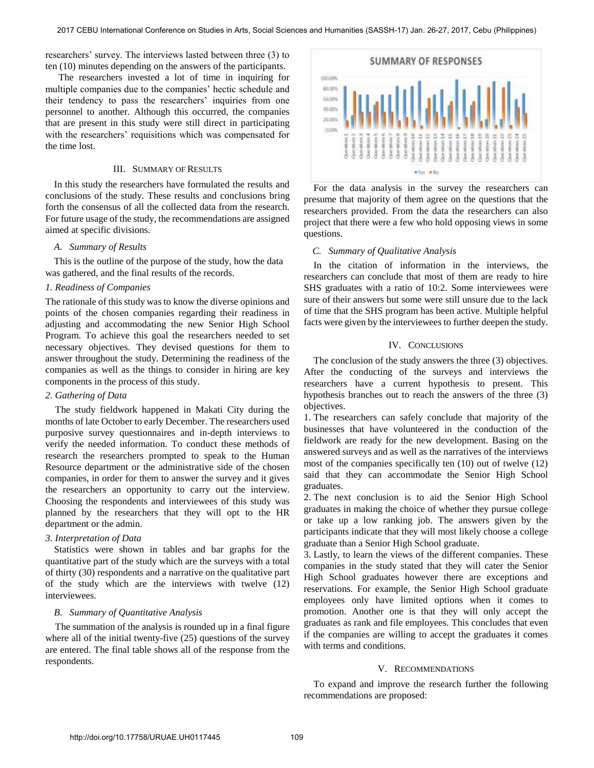researchers' survey. The interviews lasted between three (3) to ten (10) minutes depending on the answers of the participants.

 The researchers invested a lot of time in inquiring for multiple companies due to the companies' hectic schedule and their tendency to pass the researchers' inquiries from one personnel to another. Although this occurred, the companies that are present in this study were still direct in participating with the researchers' requisitions which was compensated for the time lost.

## III. SUMMARY OF RESULTS

In this study the researchers have formulated the results and conclusions of the study. These results and conclusions bring forth the consensus of all the collected data from the research. For future usage of the study, the recommendations are assigned aimed at specific divisions.

#### *A. Summary of Results*

This is the outline of the purpose of the study, how the data was gathered, and the final results of the records.

# *1. Readiness of Companies*

The rationale of this study was to know the diverse opinions and points of the chosen companies regarding their readiness in adjusting and accommodating the new Senior High School Program. To achieve this goal the researchers needed to set necessary objectives. They devised questions for them to answer throughout the study. Determining the readiness of the companies as well as the things to consider in hiring are key components in the process of this study.

## *2. Gathering of Data*

 The study fieldwork happened in Makati City during the months of late October to early December. The researchers used purposive survey questionnaires and in-depth interviews to verify the needed information. To conduct these methods of research the researchers prompted to speak to the Human Resource department or the administrative side of the chosen companies, in order for them to answer the survey and it gives the researchers an opportunity to carry out the interview. Choosing the respondents and interviewees of this study was planned by the researchers that they will opt to the HR department or the admin.

## *3. Interpretation of Data*

Statistics were shown in tables and bar graphs for the quantitative part of the study which are the surveys with a total of thirty (30) respondents and a narrative on the qualitative part of the study which are the interviews with twelve (12) interviewees.

#### *B. Summary of Quantitative Analysis*

The summation of the analysis is rounded up in a final figure where all of the initial twenty-five (25) questions of the survey are entered. The final table shows all of the response from the respondents.



 For the data analysis in the survey the researchers can presume that majority of them agree on the questions that the researchers provided. From the data the researchers can also project that there were a few who hold opposing views in some questions.

## *C. Summary of Qualitative Analysis*

 In the citation of information in the interviews, the researchers can conclude that most of them are ready to hire SHS graduates with a ratio of 10:2. Some interviewees were sure of their answers but some were still unsure due to the lack of time that the SHS program has been active. Multiple helpful facts were given by the interviewees to further deepen the study.

## IV. CONCLUSIONS

The conclusion of the study answers the three (3) objectives. After the conducting of the surveys and interviews the researchers have a current hypothesis to present. This hypothesis branches out to reach the answers of the three (3) objectives.

1. The researchers can safely conclude that majority of the businesses that have volunteered in the conduction of the fieldwork are ready for the new development. Basing on the answered surveys and as well as the narratives of the interviews most of the companies specifically ten (10) out of twelve (12) said that they can accommodate the Senior High School graduates.

2. The next conclusion is to aid the Senior High School graduates in making the choice of whether they pursue college or take up a low ranking job. The answers given by the participants indicate that they will most likely choose a college graduate than a Senior High School graduate.

3. Lastly, to learn the views of the different companies. These companies in the study stated that they will cater the Senior High School graduates however there are exceptions and reservations. For example, the Senior High School graduate employees only have limited options when it comes to promotion. Another one is that they will only accept the graduates as rank and file employees. This concludes that even if the companies are willing to accept the graduates it comes with terms and conditions.

### V. RECOMMENDATIONS

To expand and improve the research further the following recommendations are proposed: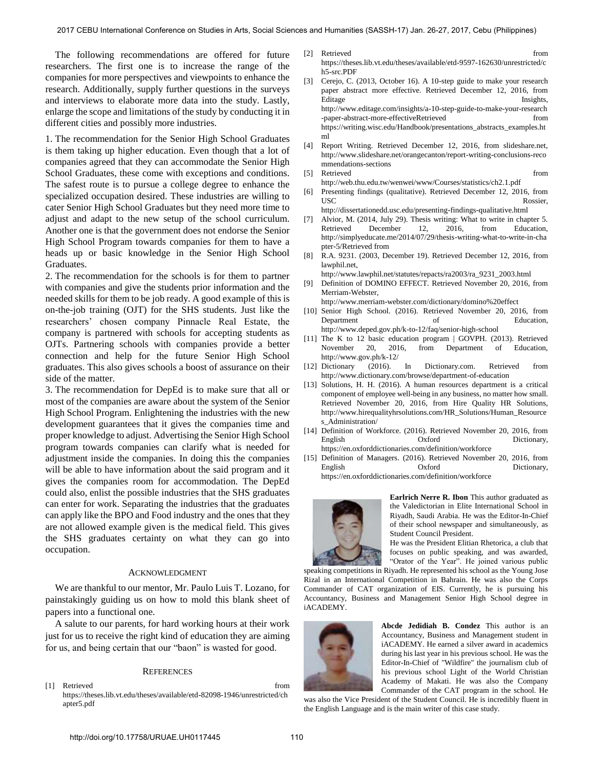The following recommendations are offered for future researchers. The first one is to increase the range of the companies for more perspectives and viewpoints to enhance the research. Additionally, supply further questions in the surveys and interviews to elaborate more data into the study. Lastly, enlarge the scope and limitations of the study by conducting it in different cities and possibly more industries.

1. The recommendation for the Senior High School Graduates is them taking up higher education. Even though that a lot of companies agreed that they can accommodate the Senior High School Graduates, these come with exceptions and conditions. The safest route is to pursue a college degree to enhance the specialized occupation desired. These industries are willing to cater Senior High School Graduates but they need more time to adjust and adapt to the new setup of the school curriculum. Another one is that the government does not endorse the Senior High School Program towards companies for them to have a heads up or basic knowledge in the Senior High School Graduates.

2. The recommendation for the schools is for them to partner with companies and give the students prior information and the needed skills for them to be job ready. A good example of this is on-the-job training (OJT) for the SHS students. Just like the researchers' chosen company Pinnacle Real Estate, the company is partnered with schools for accepting students as OJTs. Partnering schools with companies provide a better connection and help for the future Senior High School graduates. This also gives schools a boost of assurance on their side of the matter.

3. The recommendation for DepEd is to make sure that all or most of the companies are aware about the system of the Senior High School Program. Enlightening the industries with the new development guarantees that it gives the companies time and proper knowledge to adjust. Advertising the Senior High School program towards companies can clarify what is needed for adjustment inside the companies. In doing this the companies will be able to have information about the said program and it gives the companies room for accommodation. The DepEd could also, enlist the possible industries that the SHS graduates can enter for work. Separating the industries that the graduates can apply like the BPO and Food industry and the ones that they are not allowed example given is the medical field. This gives the SHS graduates certainty on what they can go into occupation.

#### ACKNOWLEDGMENT

We are thankful to our mentor, Mr. Paulo Luis T. Lozano, for painstakingly guiding us on how to mold this blank sheet of papers into a functional one.

A salute to our parents, for hard working hours at their work just for us to receive the right kind of education they are aiming for us, and being certain that our "baon" is wasted for good.

#### **REFERENCES**

[1] Retrieved from https://theses.lib.vt.edu/theses/available/etd-82098-1946/unrestricted/ch apter5.pdf

- [2] Retrieved from https://theses.lib.vt.edu/theses/available/etd-9597-162630/unrestricted/c h5-src.PDF
- [3] Cerejo, C. (2013, October 16). A 10-step guide to make your research paper abstract more effective. Retrieved December 12, 2016, from Editage Insights, http://www.editage.com/insights/a-10-step-guide-to-make-your-research -paper-abstract-more-effectiveRetrieved from https://writing.wisc.edu/Handbook/presentations\_abstracts\_examples.ht ml
- [4] Report Writing. Retrieved December 12, 2016, from slideshare.net, http://www.slideshare.net/orangecanton/report-writing-conclusions-reco mmendations-sections
- [5] Retrieved from http://web.thu.edu.tw/wenwei/www/Courses/statistics/ch2.1.pdf
- [6] Presenting findings (qualitative). Retrieved December 12, 2016, from USC Rossier, http://dissertationedd.usc.edu/presenting-findings-qualitative.html
- [7] Alvior, M. (2014, July 29). Thesis writing: What to write in chapter 5. Retrieved December 12, 2016, from Education, http://simplyeducate.me/2014/07/29/thesis-writing-what-to-write-in-cha pter-5/Retrieved from
- [8] R.A. 9231. (2003, December 19). Retrieved December 12, 2016, from lawphil.net,
- http://www.lawphil.net/statutes/repacts/ra2003/ra\_9231\_2003.html
- [9] Definition of DOMINO EFFECT. Retrieved November 20, 2016, from Merriam-Webster,
- http://www.merriam-webster.com/dictionary/domino%20effect
- [10] Senior High School. (2016). Retrieved November 20, 2016, from Department of Education, http://www.deped.gov.ph/k-to-12/faq/senior-high-school
- [11] The K to 12 basic education program | GOVPH. (2013). Retrieved November 20, 2016, from Department of Education, http://www.gov.ph/k-12/
- [12] Dictionary (2016). In Dictionary.com. Retrieved from http://www.dictionary.com/browse/department-of-education
- [13] Solutions, H. H. (2016). A human resources department is a critical component of employee well-being in any business, no matter how small. Retrieved November 20, 2016, from Hire Quality HR Solutions, http://www.hirequalityhrsolutions.com/HR\_Solutions/Human\_Resource s\_Administration/
- [14] Definition of Workforce. (2016). Retrieved November 20, 2016, from English Oxford Dictionary, https://en.oxforddictionaries.com/definition/workforce
- [15] Definition of Managers. (2016). Retrieved November 20, 2016, from English Oxford Dictionary, https://en.oxforddictionaries.com/definition/workforce



**Earlrich Nerre R. Ibon** This author graduated as the Valedictorian in Elite International School in Riyadh, Saudi Arabia. He was the Editor-In-Chief of their school newspaper and simultaneously, as Student Council President.

He was the President Elitian Rhetorica, a club that focuses on public speaking, and was awarded, "Orator of the Year". He joined various public

speaking competitions in Riyadh. He represented his school as the Young Jose Rizal in an International Competition in Bahrain. He was also the Corps Commander of CAT organization of EIS. Currently, he is pursuing his Accountancy, Business and Management Senior High School degree in iACADEMY.



**Abcde Jedidiah B. Condez** This author is an Accountancy, Business and Management student in iACADEMY. He earned a silver award in academics during his last year in his previous school. He was the Editor-In-Chief of "Wildfire" the journalism club of his previous school Light of the World Christian Academy of Makati. He was also the Company Commander of the CAT program in the school. He

was also the Vice President of the Student Council. He is incredibly fluent in the English Language and is the main writer of this case study.